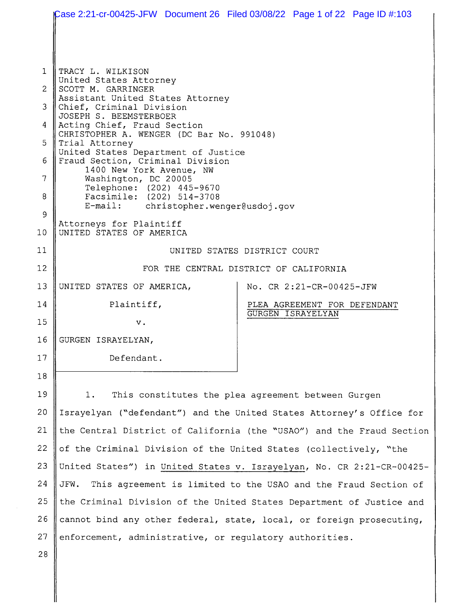|                 | Case 2:21-cr-00425-JFW Document 26 Filed 03/08/22 Page 1 of 22 Page ID #:103 |                                                          |  |  |  |
|-----------------|------------------------------------------------------------------------------|----------------------------------------------------------|--|--|--|
|                 |                                                                              |                                                          |  |  |  |
|                 |                                                                              |                                                          |  |  |  |
| $\mathbf{1}$    | TRACY L. WILKISON<br>United States Attorney                                  |                                                          |  |  |  |
| $\overline{2}$  | SCOTT M. GARRINGER<br>Assistant United States Attorney                       |                                                          |  |  |  |
| 3               | Chief, Criminal Division<br>JOSEPH S. BEEMSTERBOER                           |                                                          |  |  |  |
| 4               | Acting Chief, Fraud Section<br>CHRISTOPHER A. WENGER (DC Bar No. 991048)     |                                                          |  |  |  |
| 5               | Trial Attorney<br>United States Department of Justice                        |                                                          |  |  |  |
| 6               | Fraud Section, Criminal Division<br>1400 New York Avenue, NW                 |                                                          |  |  |  |
| 7               | Washington, DC 20005<br>Telephone: (202) 445-9670                            |                                                          |  |  |  |
| 8               | Facsimile: (202) 514-3708<br>E-mail: christopher.wenger@usdoj.gov            |                                                          |  |  |  |
| 9               |                                                                              |                                                          |  |  |  |
| 10 <sub>1</sub> | Attorneys for Plaintiff<br>UNITED STATES OF AMERICA                          |                                                          |  |  |  |
| 11              | UNITED STATES DISTRICT COURT                                                 |                                                          |  |  |  |
| 12              | FOR THE CENTRAL DISTRICT OF CALIFORNIA                                       |                                                          |  |  |  |
| 13              | UNITED STATES OF AMERICA,                                                    | No. CR 2:21-CR-00425-JFW                                 |  |  |  |
| 14              | Plaintiff,                                                                   | PLEA AGREEMENT FOR DEFENDANT<br><b>GURGEN ISRAYELYAN</b> |  |  |  |
| 15              | v.                                                                           |                                                          |  |  |  |
| 16              | GURGEN ISRAYELYAN,                                                           |                                                          |  |  |  |
| 17              | Defendant.                                                                   |                                                          |  |  |  |
| 18              |                                                                              |                                                          |  |  |  |
| 19              | $1$ .<br>This constitutes the plea agreement between Gurgen                  |                                                          |  |  |  |
| 20              | Israyelyan ("defendant") and the United States Attorney's Office for         |                                                          |  |  |  |
| 21              | the Central District of California (the "USAO") and the Fraud Section        |                                                          |  |  |  |
| 22              | of the Criminal Division of the United States (collectively, "the            |                                                          |  |  |  |
| 23              | United States") in United States v. Israyelyan, No. CR 2:21-CR-00425-        |                                                          |  |  |  |
| 24              | JFW.<br>This agreement is limited to the USAO and the Fraud Section of       |                                                          |  |  |  |
| 25              | the Criminal Division of the United States Department of Justice and         |                                                          |  |  |  |
| 26              | cannot bind any other federal, state, local, or foreign prosecuting,         |                                                          |  |  |  |
| 27              | enforcement, administrative, or regulatory authorities.                      |                                                          |  |  |  |
| 28              |                                                                              |                                                          |  |  |  |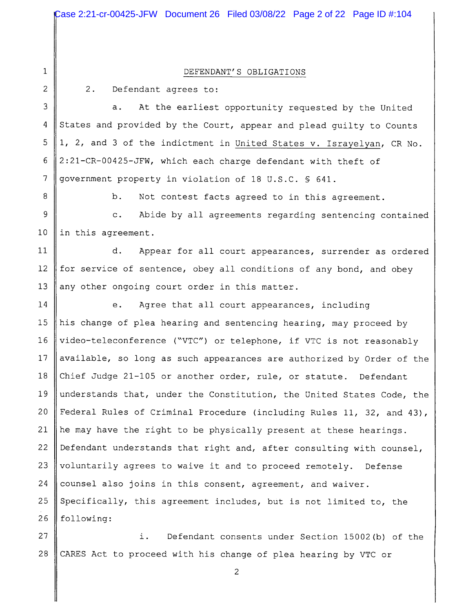DEFENDANT'S OBLIGATIONS

 $\overline{2}$ 

3

4

5

 $6\overline{6}$ 

 $\overline{7}$ 

 $2.$ 

 $\mathbf 1$ 

Defendant agrees to:

At the earliest opportunity requested by the United  $a.$ States and provided by the Court, appear and plead guilty to Counts 1, 2, and 3 of the indictment in United States v. Israyelyan, CR No. 2:21-CR-00425-JFW, which each charge defendant with theft of government property in violation of 18 U.S.C. § 641.

8

 $b.$ Not contest facts agreed to in this agreement.

9  $\mathbf{c}$ . Abide by all agreements regarding sentencing contained  $10<sup>°</sup>$ in this agreement.

 $11$ d. Appear for all court appearances, surrender as ordered for service of sentence, obey all conditions of any bond, and obey  $12<sup>2</sup>$ 13 any other ongoing court order in this matter.

 $14$ Agree that all court appearances, including e.  $15$ his change of plea hearing and sentencing hearing, may proceed by  $16$ video-teleconference ("VTC") or telephone, if VTC is not reasonably available, so long as such appearances are authorized by Order of the 17 18 Chief Judge 21-105 or another order, rule, or statute. Defendant 19 understands that, under the Constitution, the United States Code, the 20 Federal Rules of Criminal Procedure (including Rules 11, 32, and 43), he may have the right to be physically present at these hearings. 21 22 Defendant understands that right and, after consulting with counsel, 23 voluntarily agrees to waive it and to proceed remotely. Defense 24 counsel also joins in this consent, agreement, and waiver. 25 Specifically, this agreement includes, but is not limited to, the 26 following:

27 i. Defendant consents under Section 15002(b) of the 28 CARES Act to proceed with his change of plea hearing by VTC or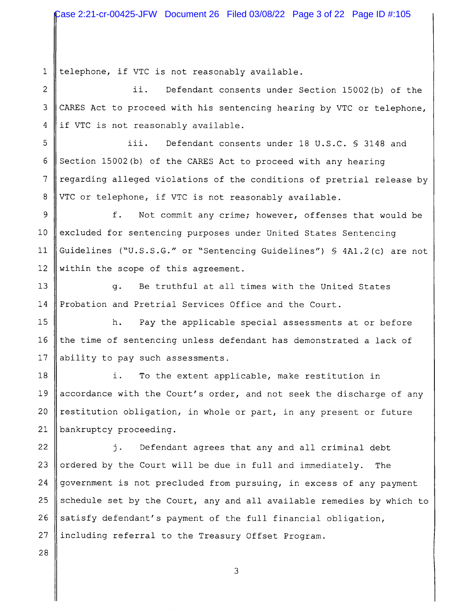$\mathbf{1}$ telephone, if VTC is not reasonably available.

 $\overline{2}$ ii. Defendant consents under Section 15002(b) of the 3 CARES Act to proceed with his sentencing hearing by VTC or telephone, if VTC is not reasonably available.  $\overline{4}$ 

5 iii. Defendant consents under 18 U.S.C. § 3148 and 6 Section 15002(b) of the CARES Act to proceed with any hearing  $\overline{7}$ regarding alleged violations of the conditions of pretrial release by 8 VTC or telephone, if VTC is not reasonably available.

9 f. Not commit any crime; however, offenses that would be  $10$ excluded for sentencing purposes under United States Sentencing Guidelines ("U.S.S.G." or "Sentencing Guidelines") § 4A1.2(c) are not  $11$  $12<sup>2</sup>$ within the scope of this agreement.

 $13$  $q<sub>1</sub>$ Be truthful at all times with the United States Probation and Pretrial Services Office and the Court.  $14$ 

15 Pay the applicable special assessments at or before  $h$ . the time of sentencing unless defendant has demonstrated a lack of  $16$  $17<sup>2</sup>$ ability to pay such assessments.

18 i. To the extent applicable, make restitution in 19 accordance with the Court's order, and not seek the discharge of any  $20$ restitution obligation, in whole or part, in any present or future 21 bankruptcy proceeding.

22 Defendant agrees that any and all criminal debt j. 23 ordered by the Court will be due in full and immediately. The 24 government is not precluded from pursuing, in excess of any payment schedule set by the Court, any and all available remedies by which to 25 26 satisfy defendant's payment of the full financial obligation, 27 including referral to the Treasury Offset Program.

3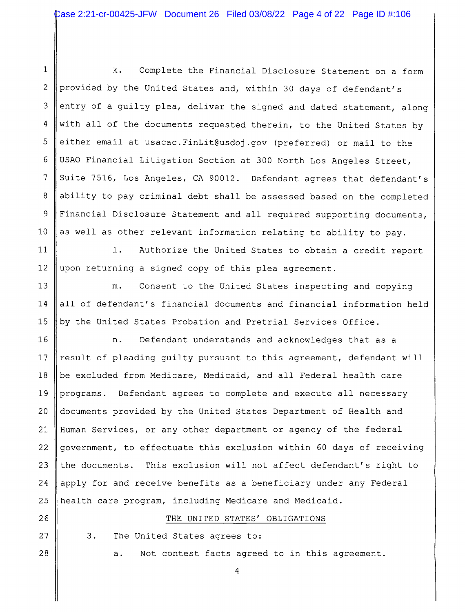$\mathbf{1}$  $\mathbf k$ . Complete the Financial Disclosure Statement on a form  $\overline{2}$ provided by the United States and, within 30 days of defendant's 3 entry of a guilty plea, deliver the signed and dated statement, along with all of the documents requested therein, to the United States by 4 either email at usacac. FinLit@usdoj.gov (preferred) or mail to the 5 USAO Financial Litigation Section at 300 North Los Angeles Street, 6 Suite 7516, Los Angeles, CA 90012. Defendant agrees that defendant's  $\overline{7}$ 8 ability to pay criminal debt shall be assessed based on the completed 9 Financial Disclosure Statement and all required supporting documents,  $10<sup>1</sup>$ as well as other relevant information relating to ability to pay.

 $11$  $\mathbf{1}$ . Authorize the United States to obtain a credit report  $12$ upon returning a signed copy of this plea agreement.

 $13$  $m<sub>z</sub>$ Consent to the United States inspecting and copying all of defendant's financial documents and financial information held  $14$ 15 by the United States Probation and Pretrial Services Office.

16 Defendant understands and acknowledges that as a n.  $17$ result of pleading guilty pursuant to this agreement, defendant will 18 be excluded from Medicare, Medicaid, and all Federal health care 19 programs. Defendant agrees to complete and execute all necessary  $20$ documents provided by the United States Department of Health and Human Services, or any other department or agency of the federal 21 22 government, to effectuate this exclusion within 60 days of receiving 23 the documents. This exclusion will not affect defendant's right to 24 apply for and receive benefits as a beneficiary under any Federal 25 health care program, including Medicare and Medicaid.

## 26

27

28

 $3.$ The United States agrees to:

> Not contest facts agreed to in this agreement.  $a.$

THE UNITED STATES' OBLIGATIONS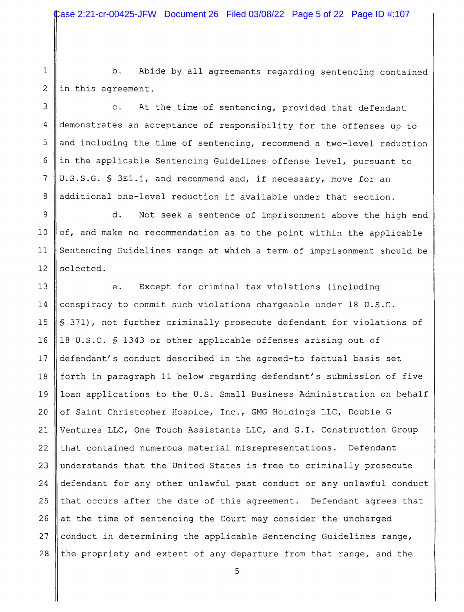$1\,$ 2

 $b.$ Abide by all agreements regarding sentencing contained in this agreement.

3 At the time of sentencing, provided that defendant  $\mathbf{c}$ . demonstrates an acceptance of responsibility for the offenses up to  $\overline{4}$ 5 and including the time of sentencing, recommend a two-level reduction 6 in the applicable Sentencing Guidelines offense level, pursuant to  $7\overline{ }$ U.S.S.G. § 3E1.1, and recommend and, if necessary, move for an 8 additional one-level reduction if available under that section.

 $\overline{9}$ d. Not seek a sentence of imprisonment above the high end  $10$ of, and make no recommendation as to the point within the applicable  $11$ Sentencing Guidelines range at which a term of imprisonment should be selected.  $12$ 

 $13$ Except for criminal tax violations (including  $e$ .  $14$ conspiracy to commit such violations chargeable under 18 U.S.C. 15 \$ 371), not further criminally prosecute defendant for violations of 18 U.S.C. § 1343 or other applicable offenses arising out of 16  $17$ defendant's conduct described in the agreed-to factual basis set forth in paragraph 11 below regarding defendant's submission of five  $18$ loan applications to the U.S. Small Business Administration on behalf 19 20 of Saint Christopher Hospice, Inc., GMG Holdings LLC, Double G 21 Ventures LLC, One Touch Assistants LLC, and G.I. Construction Group 22 that contained numerous material misrepresentations. Defendant 23 understands that the United States is free to criminally prosecute 24 defendant for any other unlawful past conduct or any unlawful conduct that occurs after the date of this agreement. Defendant agrees that 25 26 at the time of sentencing the Court may consider the uncharged 27 conduct in determining the applicable Sentencing Guidelines range, 28 the propriety and extent of any departure from that range, and the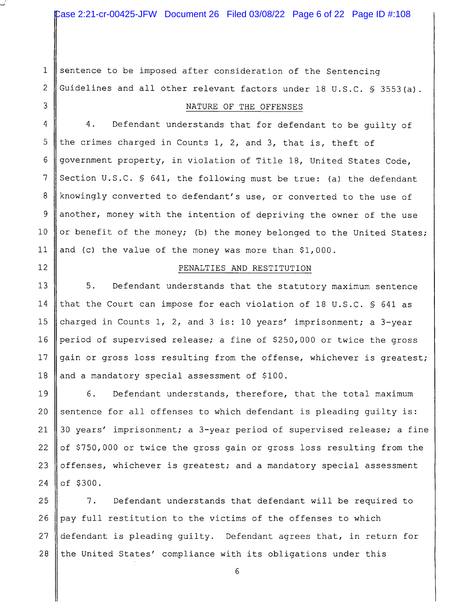sentence to be imposed after consideration of the Sentencing  $\mathbf{1}$ Guidelines and all other relevant factors under 18 U.S.C. § 3553(a). 2

3

 $12$ 

## NATURE OF THE OFFENSES

4 4. Defendant understands that for defendant to be quilty of 5 the crimes charged in Counts 1, 2, and 3, that is, theft of 6 government property, in violation of Title 18, United States Code, 7 Section U.S.C. § 641, the following must be true: (a) the defendant 8 knowingly converted to defendant's use, or converted to the use of another, money with the intention of depriving the owner of the use 9  $10$ or benefit of the money; (b) the money belonged to the United States;  $11$ and (c) the value of the money was more than \$1,000.

## PENALTIES AND RESTITUTION

 $5.$ 13 Defendant understands that the statutory maximum sentence 14 that the Court can impose for each violation of 18 U.S.C. § 641 as 15 charged in Counts 1, 2, and 3 is: 10 years' imprisonment; a 3-year 16 period of supervised release; a fine of \$250,000 or twice the gross 17 gain or gross loss resulting from the offense, whichever is greatest; 18 and a mandatory special assessment of \$100.

19 6. Defendant understands, therefore, that the total maximum 20 sentence for all offenses to which defendant is pleading quilty is: 30 years' imprisonment; a 3-year period of supervised release; a fine 21 22 of \$750,000 or twice the gross gain or gross loss resulting from the 23 offenses, whichever is greatest; and a mandatory special assessment of \$300. 24

25  $7.$ Defendant understands that defendant will be required to 26 pay full restitution to the victims of the offenses to which 27 defendant is pleading guilty. Defendant agrees that, in return for 28 the United States' compliance with its obligations under this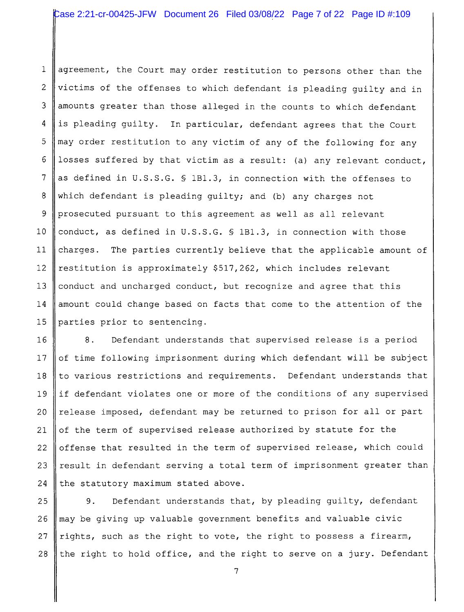$\mathbf{1}$ agreement, the Court may order restitution to persons other than the  $\overline{2}$ victims of the offenses to which defendant is pleading guilty and in 3 amounts greater than those alleged in the counts to which defendant  $\overline{4}$ is pleading guilty. In particular, defendant agrees that the Court may order restitution to any victim of any of the following for any 5 losses suffered by that victim as a result: (a) any relevant conduct, 6 7 as defined in U.S.S.G. § 1B1.3, in connection with the offenses to 8 which defendant is pleading quilty; and (b) any charges not 9 prosecuted pursuant to this agreement as well as all relevant  $10$ conduct, as defined in U.S.S.G. § 1B1.3, in connection with those  $11$ charges. The parties currently believe that the applicable amount of  $12$ restitution is approximately \$517,262, which includes relevant 13 conduct and uncharged conduct, but recognize and agree that this 14 amount could change based on facts that come to the attention of the 15 parties prior to sentencing.

16  $8.$ Defendant understands that supervised release is a period  $17$ of time following imprisonment during which defendant will be subject 18 to various restrictions and requirements. Defendant understands that if defendant violates one or more of the conditions of any supervised 19 release imposed, defendant may be returned to prison for all or part 20 of the term of supervised release authorized by statute for the 21 22 offense that resulted in the term of supervised release, which could 23 result in defendant serving a total term of imprisonment greater than 24 the statutory maximum stated above.

25 9. Defendant understands that, by pleading guilty, defendant may be giving up valuable government benefits and valuable civic 26 27 rights, such as the right to vote, the right to possess a firearm, 28 the right to hold office, and the right to serve on a jury. Defendant

 $\overline{7}$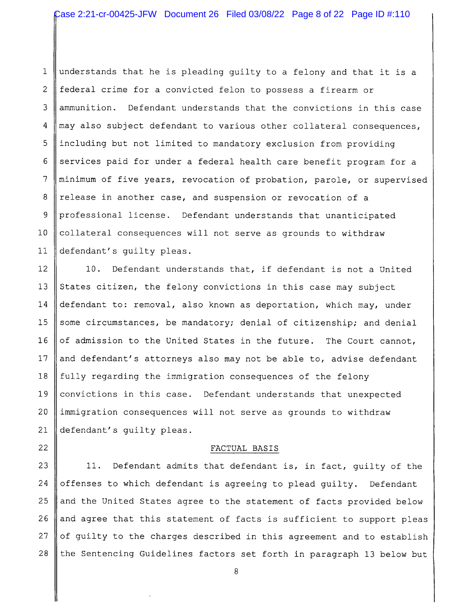understands that he is pleading guilty to a felony and that it is a  $\mathbf{1}$ 2 federal crime for a convicted felon to possess a firearm or 3 ammunition. Defendant understands that the convictions in this case 4 may also subject defendant to various other collateral consequences, 5 including but not limited to mandatory exclusion from providing services paid for under a federal health care benefit program for a 6  $\overline{7}$ minimum of five years, revocation of probation, parole, or supervised 8 release in another case, and suspension or revocation of a  $\overline{9}$ professional license. Defendant understands that unanticipated  $10$ collateral consequences will not serve as grounds to withdraw  $11$ defendant's quilty pleas.

 $12$ 10. Defendant understands that, if defendant is not a United 13 States citizen, the felony convictions in this case may subject 14 defendant to: removal, also known as deportation, which may, under  $15$ some circumstances, be mandatory; denial of citizenship; and denial 16 of admission to the United States in the future. The Court cannot, 17 and defendant's attorneys also may not be able to, advise defendant 18 fully regarding the immigration consequences of the felony 19 convictions in this case. Defendant understands that unexpected 20 immigration consequences will not serve as grounds to withdraw 21 defendant's guilty pleas.

## FACTUAL BASIS

22

23 Defendant admits that defendant is, in fact, guilty of the 11. 24 offenses to which defendant is agreeing to plead quilty. Defendant 25 and the United States agree to the statement of facts provided below 26 and agree that this statement of facts is sufficient to support pleas of guilty to the charges described in this agreement and to establish 27 28 the Sentencing Guidelines factors set forth in paragraph 13 below but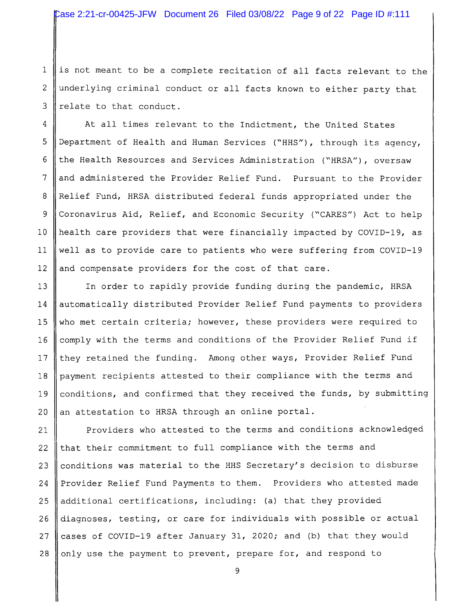$\mathbf{1}$ is not meant to be a complete recitation of all facts relevant to the underlying criminal conduct or all facts known to either party that  $\overline{2}$ 3 relate to that conduct.

4 At all times relevant to the Indictment, the United States 5 Department of Health and Human Services ("HHS"), through its agency, the Health Resources and Services Administration ("HRSA"), oversaw 6  $\overline{7}$ and administered the Provider Relief Fund. Pursuant to the Provider 8 Relief Fund, HRSA distributed federal funds appropriated under the 9 Coronavirus Aid, Relief, and Economic Security ("CARES") Act to help  $10$ health care providers that were financially impacted by COVID-19, as  $11$ well as to provide care to patients who were suffering from COVID-19 and compensate providers for the cost of that care. 12

 $13$ In order to rapidly provide funding during the pandemic, HRSA automatically distributed Provider Relief Fund payments to providers 14 15 who met certain criteria; however, these providers were required to 16 comply with the terms and conditions of the Provider Relief Fund if  $17$ they retained the funding. Among other ways, Provider Relief Fund payment recipients attested to their compliance with the terms and  $18$ conditions, and confirmed that they received the funds, by submitting 19 an attestation to HRSA through an online portal.  $20$ 

Providers who attested to the terms and conditions acknowledged 21 22 that their commitment to full compliance with the terms and conditions was material to the HHS Secretary's decision to disburse 23 Provider Relief Fund Payments to them. Providers who attested made 24 25 additional certifications, including: (a) that they provided 26 diagnoses, testing, or care for individuals with possible or actual cases of COVID-19 after January 31, 2020; and (b) that they would 27 only use the payment to prevent, prepare for, and respond to 28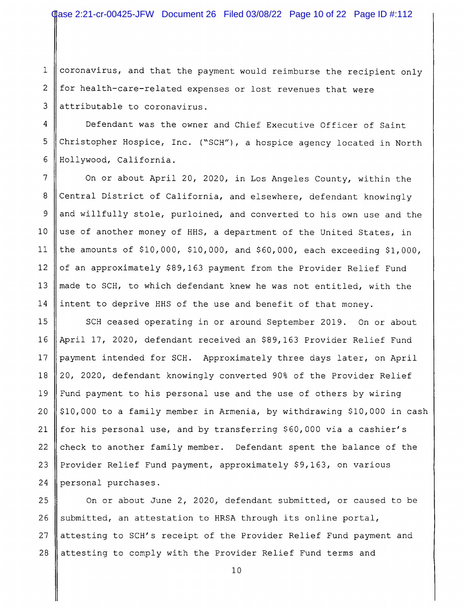$\mathbf{1}$ coronavirus, and that the payment would reimburse the recipient only for health-care-related expenses or lost revenues that were 2 3 attributable to coronavirus.

4 Defendant was the owner and Chief Executive Officer of Saint 5 Christopher Hospice, Inc. ("SCH"), a hospice agency located in North 6 Hollywood, California.

 $\overline{7}$ On or about April 20, 2020, in Los Angeles County, within the Central District of California, and elsewhere, defendant knowingly 8 and willfully stole, purloined, and converted to his own use and the 9 use of another money of HHS, a department of the United States, in  $10$ the amounts of \$10,000, \$10,000, and \$60,000, each exceeding \$1,000,  $11$  $12$ of an approximately \$89,163 payment from the Provider Relief Fund made to SCH, to which defendant knew he was not entitled, with the  $13$ intent to deprive HHS of the use and benefit of that money. 14

 $15$ SCH ceased operating in or around September 2019. On or about 16 April 17, 2020, defendant received an \$89,163 Provider Relief Fund  $17$ payment intended for SCH. Approximately three days later, on April 18 20, 2020, defendant knowingly converted 90% of the Provider Relief Fund payment to his personal use and the use of others by wiring 19 20 \$10,000 to a family member in Armenia, by withdrawing \$10,000 in cash 21 for his personal use, and by transferring \$60,000 via a cashier's check to another family member. Defendant spent the balance of the 22 23 Provider Relief Fund payment, approximately \$9,163, on various 24 personal purchases.

25 On or about June 2, 2020, defendant submitted, or caused to be 26 submitted, an attestation to HRSA through its online portal, 27 attesting to SCH's receipt of the Provider Relief Fund payment and attesting to comply with the Provider Relief Fund terms and 28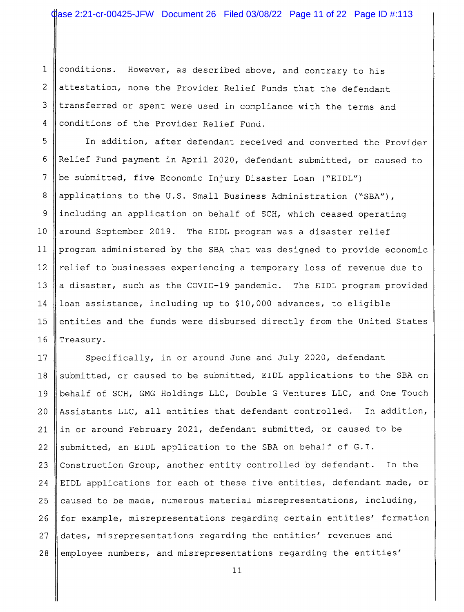$\mathbf{1}$ conditions. However, as described above, and contrary to his  $\overline{2}$ attestation, none the Provider Relief Funds that the defendant 3 transferred or spent were used in compliance with the terms and  $\overline{4}$ conditions of the Provider Relief Fund.

In addition, after defendant received and converted the Provider 5 6 Relief Fund payment in April 2020, defendant submitted, or caused to  $\overline{7}$ be submitted, five Economic Injury Disaster Loan ("EIDL") 8 applications to the U.S. Small Business Administration ("SBA"), 9 including an application on behalf of SCH, which ceased operating  $10<sup>1</sup>$ around September 2019. The EIDL program was a disaster relief  $11$ program administered by the SBA that was designed to provide economic relief to businesses experiencing a temporary loss of revenue due to  $12<sup>2</sup>$  $13$ a disaster, such as the COVID-19 pandemic. The EIDL program provided loan assistance, including up to \$10,000 advances, to eligible 14 15 entities and the funds were disbursed directly from the United States  $16$ Treasury.

 $17$ Specifically, in or around June and July 2020, defendant submitted, or caused to be submitted, EIDL applications to the SBA on 18 behalf of SCH, GMG Holdings LLC, Double G Ventures LLC, and One Touch 19 Assistants LLC, all entities that defendant controlled. In addition, 20 in or around February 2021, defendant submitted, or caused to be  $21$ submitted, an EIDL application to the SBA on behalf of G.I. 22 Construction Group, another entity controlled by defendant. In the 23 EIDL applications for each of these five entities, defendant made, or 24 caused to be made, numerous material misrepresentations, including, 25 26 for example, misrepresentations regarding certain entities' formation dates, misrepresentations regarding the entities' revenues and 27 28 employee numbers, and misrepresentations regarding the entities'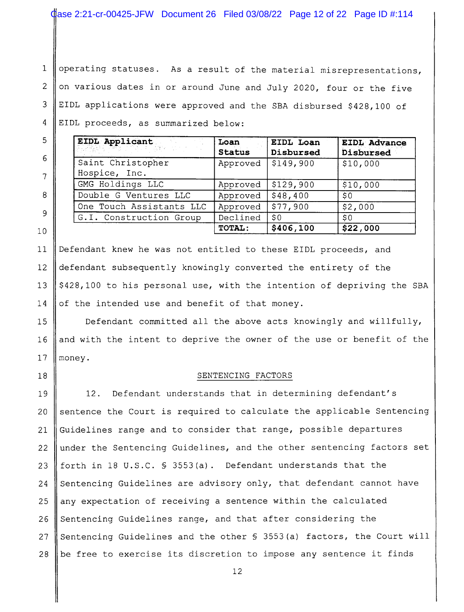$\mathbf{1}$ operating statuses. As a result of the material misrepresentations,  $\overline{2}$ on various dates in or around June and July 2020, four or the five 3 EIDL applications were approved and the SBA disbursed \$428,100 of  $\overline{4}$ EIDL proceeds, as summarized below:

| EIDL Applicant<br><b>SERVIT WARDER</b> | Loan<br><b>Status</b> | EIDL Loan<br>Disbursed | EIDL Advance<br>Disbursed |
|----------------------------------------|-----------------------|------------------------|---------------------------|
| Saint Christopher<br>Hospice, Inc.     | Approved              | S149,900               | \$10,000                  |
| GMG Holdings LLC                       | Approved              | \$129,900              | \$10,000                  |
| Double G Ventures LLC                  | Approved              | \$48,400               | \$0                       |
| One Touch Assistants LLC               | Approved              | \$77,900               | \$2,000                   |
| G.I. Construction Group                | Declined              | \$0                    | \$0                       |
|                                        | TOTAL:                | \$406,100              | \$22,000                  |

Defendant knew he was not entitled to these EIDL proceeds, and  $11$  $12$ defendant subsequently knowingly converted the entirety of the 13 \$428,100 to his personal use, with the intention of depriving the SBA 14 of the intended use and benefit of that money.

Defendant committed all the above acts knowingly and willfully, 15 and with the intent to deprive the owner of the use or benefit of the 16  $17$ monev.

18

5

6

7

8

9

 $10$ 

#### SENTENCING FACTORS

Defendant understands that in determining defendant's 19 12. sentence the Court is required to calculate the applicable Sentencing  $20$ Guidelines range and to consider that range, possible departures 21 under the Sentencing Guidelines, and the other sentencing factors set 22 23 forth in 18 U.S.C. § 3553(a). Defendant understands that the 24 Sentencing Guidelines are advisory only, that defendant cannot have any expectation of receiving a sentence within the calculated 2.5 26 Sentencing Guidelines range, and that after considering the Sentencing Guidelines and the other § 3553(a) factors, the Court will 27 28 be free to exercise its discretion to impose any sentence it finds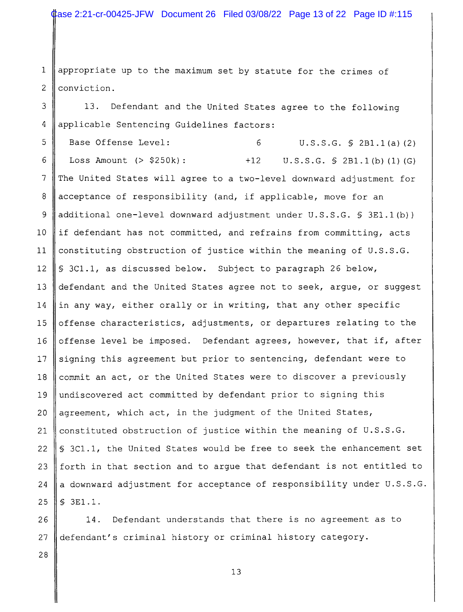appropriate up to the maximum set by statute for the crimes of  $\mathbf{1}$ conviction. 2

3 13. Defendant and the United States agree to the following 4 applicable Sentencing Guidelines factors:

5 Base Offense Level: 6  $U.S.S.G. \S 2B1.1(a) (2)$ 6 Loss Amount  $(> $250k):$  $+12$  $U.S.S.G. \S 2B1.1(b) (1) (G)$  $\overline{7}$ The United States will agree to a two-level downward adjustment for 8 acceptance of responsibility (and, if applicable, move for an 9 additional one-level downward adjustment under U.S.S.G. § 3E1.1(b))  $10<sup>°</sup>$ if defendant has not committed, and refrains from committing, acts constituting obstruction of justice within the meaning of U.S.S.G.  $11$  $12<sup>2</sup>$ \$ 3C1.1, as discussed below. Subject to paragraph 26 below, 13 defendant and the United States agree not to seek, argue, or suggest 14 in any way, either orally or in writing, that any other specific offense characteristics, adjustments, or departures relating to the 15 offense level be imposed. Defendant agrees, however, that if, after 16  $17$ signing this agreement but prior to sentencing, defendant were to commit an act, or the United States were to discover a previously 18 undiscovered act committed by defendant prior to signing this 19 20 agreement, which act, in the judgment of the United States, constituted obstruction of justice within the meaning of U.S.S.G. 21 § 3C1.1, the United States would be free to seek the enhancement set 22 23 forth in that section and to argue that defendant is not entitled to a downward adjustment for acceptance of responsibility under U.S.S.G. 24 25 § 3E1.1.

Defendant understands that there is no agreement as to 26  $14.$ 27 defendant's criminal history or criminal history category.

28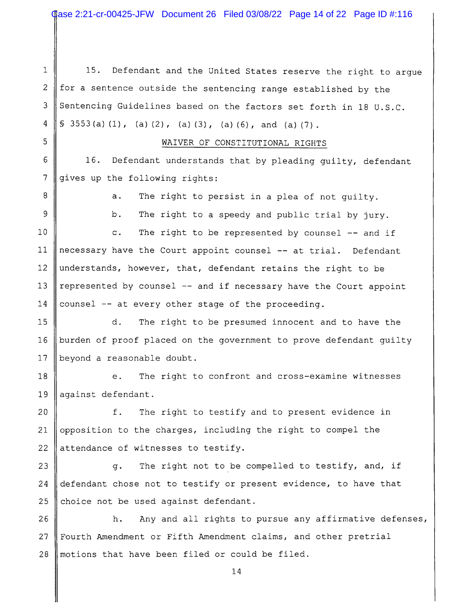Case 2:21-cr-00425-JFW Document 26 Filed 03/08/22 Page 14 of 22 Page ID #:116

Defendant and the United States reserve the right to argue  $\mathbf{1}$  $15.$  $\overline{2}$ for a sentence outside the sentencing range established by the Sentencing Guidelines based on the factors set forth in 18 U.S.C. 3 4  $$3553(a)(1)$ , (a)(2), (a)(3), (a)(6), and (a)(7). 5 WAIVER OF CONSTITUTIONAL RIGHTS 6 16. Defendant understands that by pleading guilty, defendant  $\overline{7}$ gives up the following rights: 8  $a.$ The right to persist in a plea of not guilty. 9  $b.$ The right to a speedy and public trial by jury.  $10<sup>°</sup>$ The right to be represented by counsel -- and if  $\mathbf{c}$ . necessary have the Court appoint counsel -- at trial. Defendant  $11$  $12$ understands, however, that, defendant retains the right to be  $13$ represented by counsel -- and if necessary have the Court appoint 14 counsel -- at every other stage of the proceeding. 15 d. The right to be presumed innocent and to have the burden of proof placed on the government to prove defendant guilty  $16$  $17$ beyond a reasonable doubt.  $18$ The right to confront and cross-examine witnesses  $e<sub>1</sub>$ against defendant. 19 f.  $20<sup>°</sup>$ The right to testify and to present evidence in opposition to the charges, including the right to compel the 21 22 attendance of witnesses to testify. 23 The right not to be compelled to testify, and, if  $\mathfrak{a}$ . 24 defendant chose not to testify or present evidence, to have that 25 choice not be used against defendant. Any and all rights to pursue any affirmative defenses, 26 h. Fourth Amendment or Fifth Amendment claims, and other pretrial 27 motions that have been filed or could be filed. 28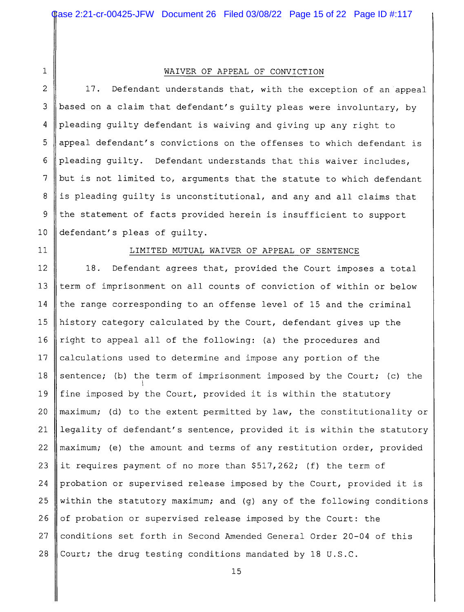$\mathbf 1$ 

#### WAIVER OF APPEAL OF CONVICTION

2 17. Defendant understands that, with the exception of an appeal based on a claim that defendant's guilty pleas were involuntary, by 3 4 pleading guilty defendant is waiving and giving up any right to 5 appeal defendant's convictions on the offenses to which defendant is pleading quilty. Defendant understands that this waiver includes, 6  $7\phantom{.0}$ but is not limited to, arguments that the statute to which defendant 8 is pleading guilty is unconstitutional, and any and all claims that 9 the statement of facts provided herein is insufficient to support  $10$ defendant's pleas of quilty.

 $11$ 

#### LIMITED MUTUAL WAIVER OF APPEAL OF SENTENCE

Defendant agrees that, provided the Court imposes a total  $12$ 18.  $13$ term of imprisonment on all counts of conviction of within or below  $14$ the range corresponding to an offense level of 15 and the criminal 15 history category calculated by the Court, defendant gives up the  $16$ right to appeal all of the following: (a) the procedures and  $17$ calculations used to determine and impose any portion of the sentence; (b) the term of imprisonment imposed by the Court; (c) the 18 19 fine imposed by the Court, provided it is within the statutory 20 maximum; (d) to the extent permitted by law, the constitutionality or 21 legality of defendant's sentence, provided it is within the statutory 22 maximum; (e) the amount and terms of any restitution order, provided 23 it requires payment of no more than \$517,262; (f) the term of 24 probation or supervised release imposed by the Court, provided it is 25 within the statutory maximum; and (g) any of the following conditions 26 of probation or supervised release imposed by the Court: the 27 conditions set forth in Second Amended General Order 20-04 of this 28 Court; the drug testing conditions mandated by 18 U.S.C.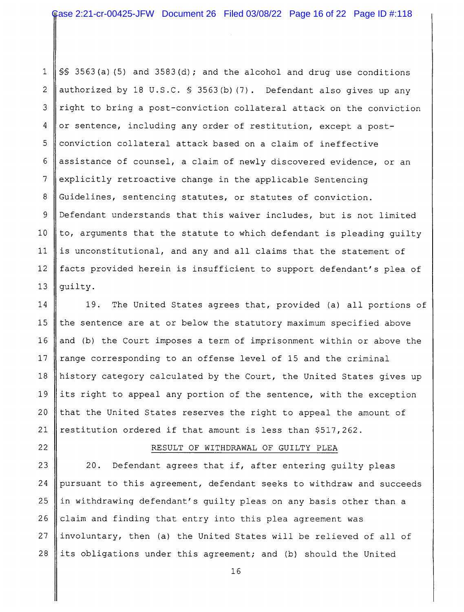$\mathbf{1}$  $\$  3563(a)(5) and 3583(d); and the alcohol and drug use conditions  $\overline{2}$ authorized by 18 U.S.C. § 3563(b)(7). Defendant also gives up any 3 right to bring a post-conviction collateral attack on the conviction  $\overline{4}$ or sentence, including any order of restitution, except a post-5 conviction collateral attack based on a claim of ineffective 6 assistance of counsel, a claim of newly discovered evidence, or an  $\overline{7}$ explicitly retroactive change in the applicable Sentencing 8 Guidelines, sentencing statutes, or statutes of conviction. 9 Defendant understands that this waiver includes, but is not limited  $10$ to, arguments that the statute to which defendant is pleading quilty 11 is unconstitutional, and any and all claims that the statement of  $12$ facts provided herein is insufficient to support defendant's plea of  $13$ quilty.

14 19. The United States agrees that, provided (a) all portions of the sentence are at or below the statutory maximum specified above  $15$ 16 and (b) the Court imposes a term of imprisonment within or above the  $17$ range corresponding to an offense level of 15 and the criminal 18 history category calculated by the Court, the United States gives up 19 its right to appeal any portion of the sentence, with the exception  $20$ that the United States reserves the right to appeal the amount of 21 restitution ordered if that amount is less than \$517,262.

## RESULT OF WITHDRAWAL OF GUILTY PLEA

23 20. Defendant agrees that if, after entering quilty pleas 24 pursuant to this agreement, defendant seeks to withdraw and succeeds 25 in withdrawing defendant's guilty pleas on any basis other than a 26 claim and finding that entry into this plea agreement was 27 involuntary, then (a) the United States will be relieved of all of 28 its obligations under this agreement; and (b) should the United

22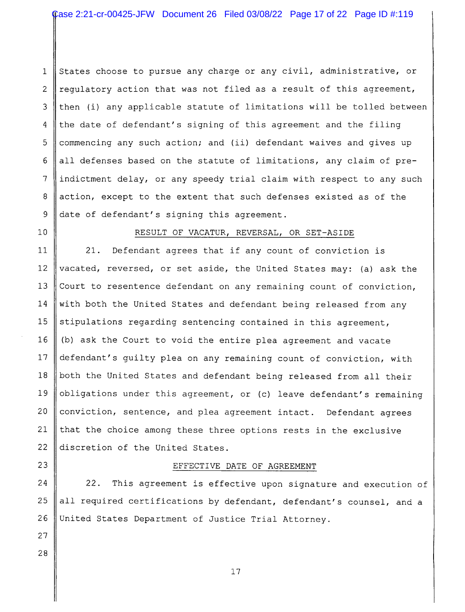States choose to pursue any charge or any civil, administrative, or  $\mathbf{1}$  $\overline{c}$ requlatory action that was not filed as a result of this agreement, then (i) any applicable statute of limitations will be tolled between 3 the date of defendant's signing of this agreement and the filing  $\overline{a}$ 5 commencing any such action; and (ii) defendant waives and gives up 6 all defenses based on the statute of limitations, any claim of pre- $\overline{7}$ indictment delay, or any speedy trial claim with respect to any such 8 action, except to the extent that such defenses existed as of the 9 date of defendant's signing this agreement.

 $10$ 

## RESULT OF VACATUR, REVERSAL, OR SET-ASIDE

11  $21.$ Defendant agrees that if any count of conviction is  $12$ vacated, reversed, or set aside, the United States may: (a) ask the 13 Court to resentence defendant on any remaining count of conviction, 14 with both the United States and defendant being released from any 15 stipulations regarding sentencing contained in this agreement,  $16$ (b) ask the Court to void the entire plea agreement and vacate defendant's quilty plea on any remaining count of conviction, with 17 18 both the United States and defendant being released from all their 19 obligations under this agreement, or (c) leave defendant's remaining  $20$ conviction, sentence, and plea agreement intact. Defendant agrees  $21$ that the choice among these three options rests in the exclusive 22 discretion of the United States.

#### EFFECTIVE DATE OF AGREEMENT

24  $22.$ This agreement is effective upon signature and execution of 25 all required certifications by defendant, defendant's counsel, and a 26 United States Department of Justice Trial Attorney.

27 28

 $23$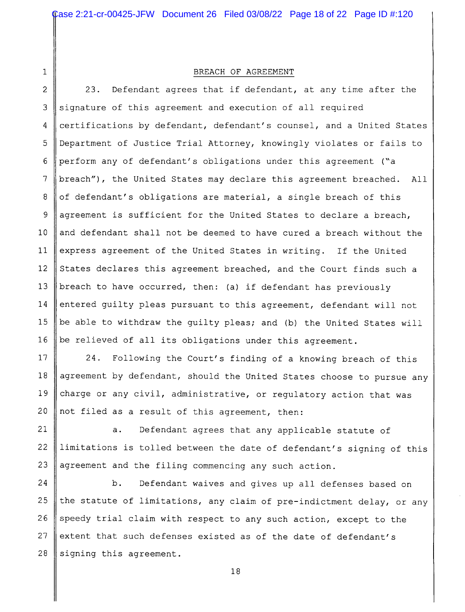$\mathbf{1}$ 

#### BREACH OF AGREEMENT

 $\overline{2}$ Defendant agrees that if defendant, at any time after the  $23.$ 3 signature of this agreement and execution of all required certifications by defendant, defendant's counsel, and a United States 4 5 Department of Justice Trial Attorney, knowingly violates or fails to perform any of defendant's obligations under this agreement ("a 6 breach"), the United States may declare this agreement breached.  $\overline{7}$ All 8 of defendant's obligations are material, a single breach of this 9 agreement is sufficient for the United States to declare a breach,  $10$ and defendant shall not be deemed to have cured a breach without the  $11$ express agreement of the United States in writing. If the United States declares this agreement breached, and the Court finds such a  $12$  $13$ breach to have occurred, then: (a) if defendant has previously  $14$ entered guilty pleas pursuant to this agreement, defendant will not 15 be able to withdraw the guilty pleas; and (b) the United States will be relieved of all its obligations under this agreement. 16

 $17$ 24. Following the Court's finding of a knowing breach of this agreement by defendant, should the United States choose to pursue any 18 19 charge or any civil, administrative, or regulatory action that was not filed as a result of this agreement, then:  $20$ 

21 Defendant agrees that any applicable statute of  $a.$ 22 limitations is tolled between the date of defendant's signing of this 23 agreement and the filing commencing any such action.

24 b. Defendant waives and gives up all defenses based on 25 the statute of limitations, any claim of pre-indictment delay, or any 26 speedy trial claim with respect to any such action, except to the extent that such defenses existed as of the date of defendant's 27 28 signing this agreement.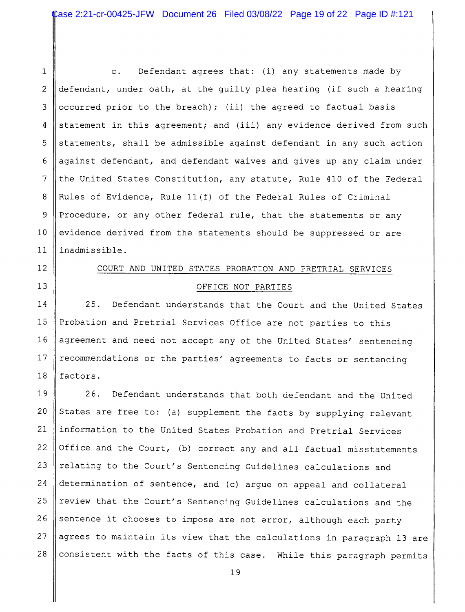Defendant agrees that: (i) any statements made by  $\mathbf{1}$  $\mathsf{c}$ .  $\overline{2}$ defendant, under oath, at the quilty plea hearing (if such a hearing occurred prior to the breach); (ii) the agreed to factual basis 3 statement in this agreement; and (iii) any evidence derived from such 4 statements, shall be admissible against defendant in any such action 5 6 against defendant, and defendant waives and gives up any claim under  $\overline{7}$ the United States Constitution, any statute, Rule 410 of the Federal Rules of Evidence, Rule 11(f) of the Federal Rules of Criminal 8 9 Procedure, or any other federal rule, that the statements or any  $10$ evidence derived from the statements should be suppressed or are  $11$ inadmissible.

# $12<sup>2</sup>$

 $13$ 

# COURT AND UNITED STATES PROBATION AND PRETRIAL SERVICES OFFICE NOT PARTIES

 $14$  $25.$ Defendant understands that the Court and the United States 15 Probation and Pretrial Services Office are not parties to this  $16$ agreement and need not accept any of the United States' sentencing recommendations or the parties' agreements to facts or sentencing 17 18 factors.

19  $26.$ Defendant understands that both defendant and the United  $20$ States are free to: (a) supplement the facts by supplying relevant 21 information to the United States Probation and Pretrial Services 22 Office and the Court, (b) correct any and all factual misstatements relating to the Court's Sentencing Guidelines calculations and 23 24 determination of sentence, and (c) argue on appeal and collateral 25 review that the Court's Sentencing Guidelines calculations and the 26 sentence it chooses to impose are not error, although each party 27 agrees to maintain its view that the calculations in paragraph 13 are 28 consistent with the facts of this case. While this paragraph permits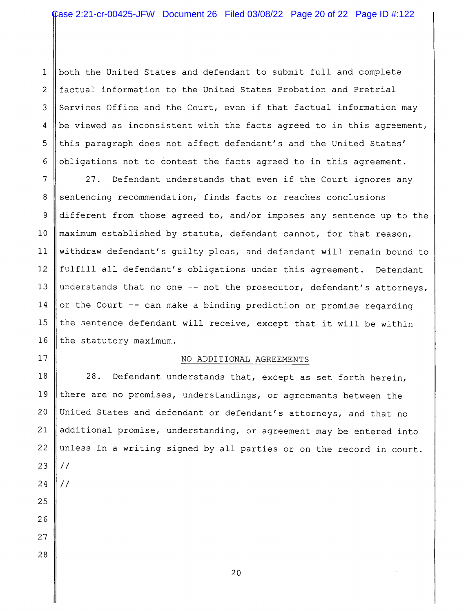$\mathbf{1}$ both the United States and defendant to submit full and complete factual information to the United States Probation and Pretrial  $\overline{2}$ Services Office and the Court, even if that factual information may 3 be viewed as inconsistent with the facts agreed to in this agreement, 4 5 this paragraph does not affect defendant's and the United States' obligations not to contest the facts agreed to in this agreement. 6

 $\overline{7}$  $27.$ Defendant understands that even if the Court ignores any 8 sentencing recommendation, finds facts or reaches conclusions 9 different from those agreed to, and/or imposes any sentence up to the  $10$ maximum established by statute, defendant cannot, for that reason,  $11$ withdraw defendant's guilty pleas, and defendant will remain bound to  $12$ fulfill all defendant's obligations under this agreement. Defendant understands that no one -- not the prosecutor, defendant's attorneys, 13 14 or the Court -- can make a binding prediction or promise regarding 15 the sentence defendant will receive, except that it will be within 16 the statutory maximum.

## $17$

## NO ADDITIONAL AGREEMENTS

18 28. Defendant understands that, except as set forth herein, there are no promises, understandings, or agreements between the 19  $20$ United States and defendant or defendant's attorneys, and that no  $21$ additional promise, understanding, or agreement may be entered into 22 unless in a writing signed by all parties or on the record in court. 23  $\frac{1}{2}$ 24  $\frac{1}{2}$ 25 26 27 28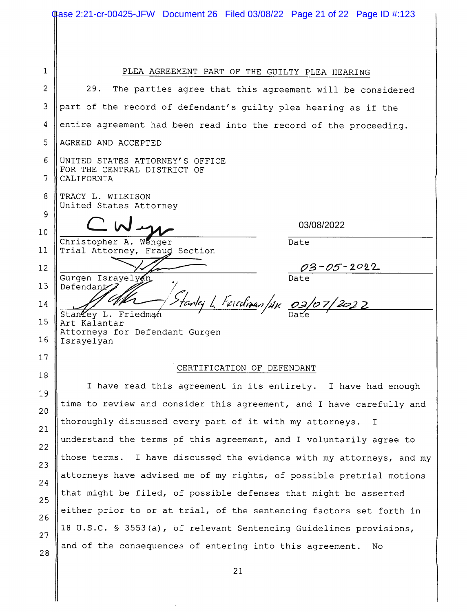|        | Case 2:21-cr-00425-JFW Document 26 Filed 03/08/22 Page 21 of 22 Page ID #:123 |  |  |  |  |
|--------|-------------------------------------------------------------------------------|--|--|--|--|
|        |                                                                               |  |  |  |  |
|        |                                                                               |  |  |  |  |
| 1      |                                                                               |  |  |  |  |
| 2      | PLEA AGREEMENT PART OF THE GUILTY PLEA HEARING                                |  |  |  |  |
|        | 29.<br>The parties agree that this agreement will be considered               |  |  |  |  |
| 3      | part of the record of defendant's guilty plea hearing as if the               |  |  |  |  |
| 4      | entire agreement had been read into the record of the proceeding.             |  |  |  |  |
| 5      | AGREED AND ACCEPTED                                                           |  |  |  |  |
| 6<br>7 | UNITED STATES ATTORNEY'S OFFICE<br>FOR THE CENTRAL DISTRICT OF<br>CALIFORNIA  |  |  |  |  |
| 8      | TRACY L. WILKISON                                                             |  |  |  |  |
| 9      | United States Attorney                                                        |  |  |  |  |
| 10     | 03/08/2022                                                                    |  |  |  |  |
| 11     | Christopher A. Wenger<br>Date<br>Trial Attorney, Fraud Section                |  |  |  |  |
| 12     | <u>03-05-2022</u>                                                             |  |  |  |  |
| 13     | Gurgen Israyelyan<br>Date<br>Defendant                                        |  |  |  |  |
| 14     | Starley L. Friedman/Av. 03/07/2022                                            |  |  |  |  |
| 15     | StanYey L. Friedman<br>Art Kalantar                                           |  |  |  |  |
| 16     | Attorneys for Defendant Gurgen<br>Israyelyan                                  |  |  |  |  |
| 17     |                                                                               |  |  |  |  |
| 18     | CERTIFICATION OF DEFENDANT                                                    |  |  |  |  |
| 19     | I have read this agreement in its entirety. I have had enough                 |  |  |  |  |
| 20     | time to review and consider this agreement, and I have carefully and          |  |  |  |  |
| 21     | thoroughly discussed every part of it with my attorneys. I                    |  |  |  |  |
| 22     | understand the terms of this agreement, and I voluntarily agree to            |  |  |  |  |
| 23     | those terms. I have discussed the evidence with my attorneys, and my          |  |  |  |  |
|        | attorneys have advised me of my rights, of possible pretrial motions          |  |  |  |  |
| 24     | that might be filed, of possible defenses that might be asserted              |  |  |  |  |
| 25     | either prior to or at trial, of the sentencing factors set forth in           |  |  |  |  |
| 26     | 18 U.S.C. § 3553(a), of relevant Sentencing Guidelines provisions,            |  |  |  |  |
| 27     | and of the consequences of entering into this agreement.<br>No.               |  |  |  |  |
| 28     |                                                                               |  |  |  |  |
|        | 21                                                                            |  |  |  |  |

 $\sim$ 

II